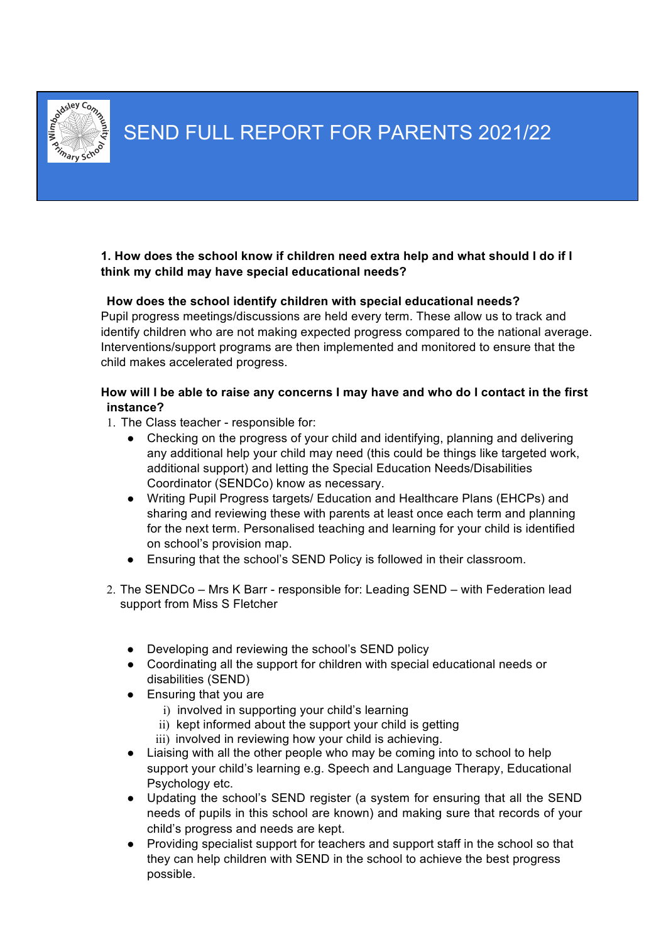

**1. How does the school know if children need extra help and what should I do if I think my child may have special educational needs?**

### **How does the school identify children with special educational needs?**

Pupil progress meetings/discussions are held every term. These allow us to track and identify children who are not making expected progress compared to the national average. Interventions/support programs are then implemented and monitored to ensure that the child makes accelerated progress.

### **How will I be able to raise any concerns I may have and who do I contact in the first instance?**

- 1. The Class teacher responsible for:
	- Checking on the progress of your child and identifying, planning and delivering any additional help your child may need (this could be things like targeted work, additional support) and letting the Special Education Needs/Disabilities Coordinator (SENDCo) know as necessary.
	- Writing Pupil Progress targets/ Education and Healthcare Plans (EHCPs) and sharing and reviewing these with parents at least once each term and planning for the next term. Personalised teaching and learning for your child is identified on school's provision map.
	- Ensuring that the school's SEND Policy is followed in their classroom.
- 2. The SENDCo Mrs K Barr responsible for: Leading SEND with Federation lead support from Miss S Fletcher
	- **●** Developing and reviewing the school's SEND policy
	- Coordinating all the support for children with special educational needs or disabilities (SEND)
	- Ensuring that you are
		- i) involved in supporting your child's learning
		- ii) kept informed about the support your child is getting
		- iii) involved in reviewing how your child is achieving.
	- Liaising with all the other people who may be coming into to school to help support your child's learning e.g. Speech and Language Therapy, Educational Psychology etc.
	- Updating the school's SEND register (a system for ensuring that all the SEND needs of pupils in this school are known) and making sure that records of your child's progress and needs are kept.
	- Providing specialist support for teachers and support staff in the school so that they can help children with SEND in the school to achieve the best progress possible.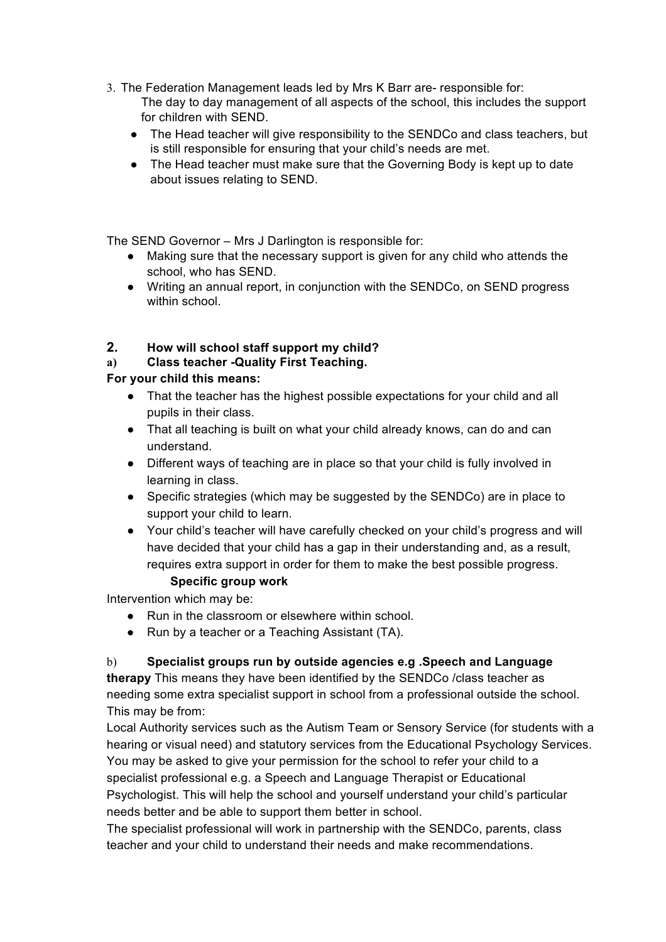- 3. The Federation Management leads led by Mrs K Barr are- responsible for: The day to day management of all aspects of the school, this includes the support for children with SEND.
	- The Head teacher will give responsibility to the SENDCo and class teachers, but is still responsible for ensuring that your child's needs are met.
	- The Head teacher must make sure that the Governing Body is kept up to date about issues relating to SEND.

The SEND Governor – Mrs J Darlington is responsible for:

- Making sure that the necessary support is given for any child who attends the school, who has SEND.
- Writing an annual report, in conjunction with the SENDCo, on SEND progress within school.

# **2. How will school staff support my child?**

**a) Class teacher -Quality First Teaching.** 

# **For your child this means:**

- That the teacher has the highest possible expectations for your child and all pupils in their class.
- That all teaching is built on what your child already knows, can do and can understand.
- Different ways of teaching are in place so that your child is fully involved in learning in class.
- Specific strategies (which may be suggested by the SENDCo) are in place to support your child to learn.
- Your child's teacher will have carefully checked on your child's progress and will have decided that your child has a gap in their understanding and, as a result, requires extra support in order for them to make the best possible progress.

# **Specific group work**

Intervention which may be:

- Run in the classroom or elsewhere within school.
- Run by a teacher or a Teaching Assistant (TA).

# b) **Specialist groups run by outside agencies e.g .Speech and Language**

**therapy** This means they have been identified by the SENDCo /class teacher as needing some extra specialist support in school from a professional outside the school. This may be from:

Local Authority services such as the Autism Team or Sensory Service (for students with a hearing or visual need) and statutory services from the Educational Psychology Services. You may be asked to give your permission for the school to refer your child to a specialist professional e.g. a Speech and Language Therapist or Educational Psychologist. This will help the school and yourself understand your child's particular needs better and be able to support them better in school.

The specialist professional will work in partnership with the SENDCo, parents, class teacher and your child to understand their needs and make recommendations.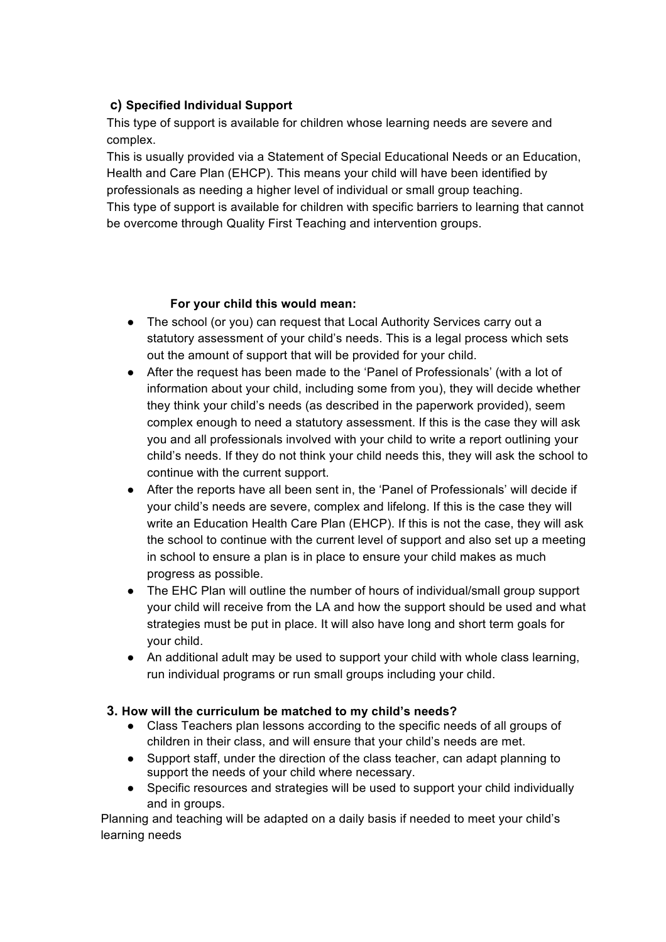# **c) Specified Individual Support**

This type of support is available for children whose learning needs are severe and complex.

This is usually provided via a Statement of Special Educational Needs or an Education, Health and Care Plan (EHCP). This means your child will have been identified by professionals as needing a higher level of individual or small group teaching. This type of support is available for children with specific barriers to learning that cannot be overcome through Quality First Teaching and intervention groups.

# **For your child this would mean:**

- The school (or you) can request that Local Authority Services carry out a statutory assessment of your child's needs. This is a legal process which sets out the amount of support that will be provided for your child.
- After the request has been made to the 'Panel of Professionals' (with a lot of information about your child, including some from you), they will decide whether they think your child's needs (as described in the paperwork provided), seem complex enough to need a statutory assessment. If this is the case they will ask you and all professionals involved with your child to write a report outlining your child's needs. If they do not think your child needs this, they will ask the school to continue with the current support.
- After the reports have all been sent in, the 'Panel of Professionals' will decide if your child's needs are severe, complex and lifelong. If this is the case they will write an Education Health Care Plan (EHCP). If this is not the case, they will ask the school to continue with the current level of support and also set up a meeting in school to ensure a plan is in place to ensure your child makes as much progress as possible.
- The EHC Plan will outline the number of hours of individual/small group support your child will receive from the LA and how the support should be used and what strategies must be put in place. It will also have long and short term goals for your child.
- An additional adult may be used to support your child with whole class learning, run individual programs or run small groups including your child.

# **3. How will the curriculum be matched to my child's needs?**

- Class Teachers plan lessons according to the specific needs of all groups of children in their class, and will ensure that your child's needs are met.
- Support staff, under the direction of the class teacher, can adapt planning to support the needs of your child where necessary.
- Specific resources and strategies will be used to support your child individually and in groups.

Planning and teaching will be adapted on a daily basis if needed to meet your child's learning needs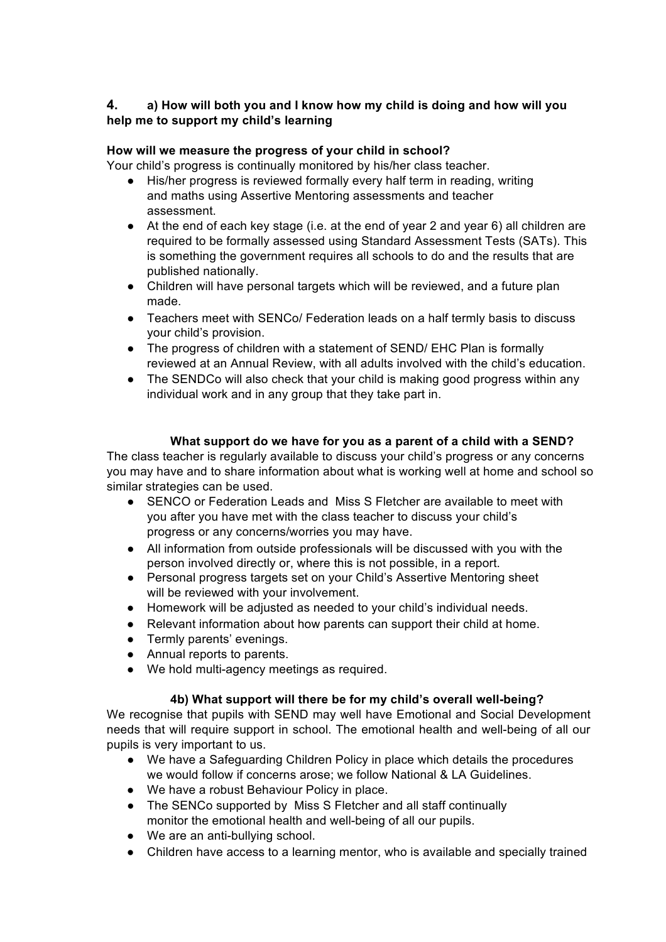# **4. a) How will both you and I know how my child is doing and how will you help me to support my child's learning**

## **How will we measure the progress of your child in school?**

Your child's progress is continually monitored by his/her class teacher.

- His/her progress is reviewed formally every half term in reading, writing and maths using Assertive Mentoring assessments and teacher assessment.
- At the end of each key stage (i.e. at the end of year 2 and year 6) all children are required to be formally assessed using Standard Assessment Tests (SATs). This is something the government requires all schools to do and the results that are published nationally.
- Children will have personal targets which will be reviewed, and a future plan made.
- Teachers meet with SENCo/ Federation leads on a half termly basis to discuss your child's provision.
- The progress of children with a statement of SEND/ EHC Plan is formally reviewed at an Annual Review, with all adults involved with the child's education.
- The SENDCo will also check that your child is making good progress within any individual work and in any group that they take part in.

### **What support do we have for you as a parent of a child with a SEND?**

The class teacher is regularly available to discuss your child's progress or any concerns you may have and to share information about what is working well at home and school so similar strategies can be used.

- SENCO or Federation Leads and Miss S Fletcher are available to meet with you after you have met with the class teacher to discuss your child's progress or any concerns/worries you may have.
- All information from outside professionals will be discussed with you with the person involved directly or, where this is not possible, in a report.
- Personal progress targets set on your Child's Assertive Mentoring sheet will be reviewed with your involvement.
- Homework will be adjusted as needed to your child's individual needs.
- Relevant information about how parents can support their child at home.
- Termly parents' evenings.
- Annual reports to parents.
- We hold multi-agency meetings as required.

### **4b) What support will there be for my child's overall well-being?**

We recognise that pupils with SEND may well have Emotional and Social Development needs that will require support in school. The emotional health and well-being of all our pupils is very important to us.

- We have a Safeguarding Children Policy in place which details the procedures we would follow if concerns arose; we follow National & LA Guidelines.
- We have a robust Behaviour Policy in place.
- The SENCo supported by Miss S Fletcher and all staff continually monitor the emotional health and well-being of all our pupils.
- We are an anti-bullying school.
- Children have access to a learning mentor, who is available and specially trained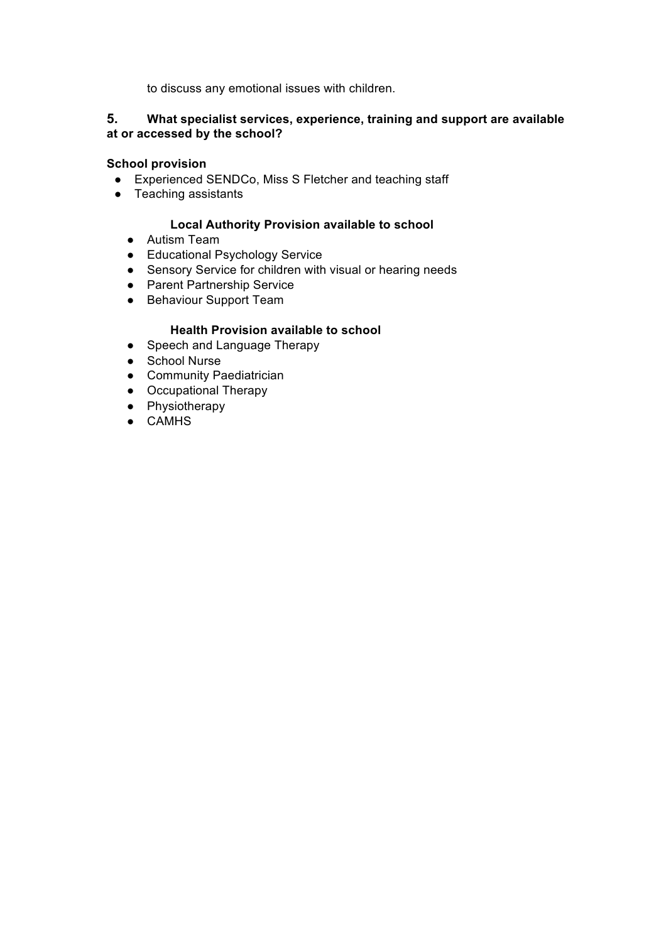to discuss any emotional issues with children.

### **5. What specialist services, experience, training and support are available at or accessed by the school?**

### **School provision**

- Experienced SENDCo, Miss S Fletcher and teaching staff
- Teaching assistants

### **Local Authority Provision available to school**

- Autism Team
- Educational Psychology Service
- Sensory Service for children with visual or hearing needs
- Parent Partnership Service
- Behaviour Support Team

### **Health Provision available to school**

- Speech and Language Therapy
- School Nurse
- Community Paediatrician
- Occupational Therapy
- Physiotherapy
- CAMHS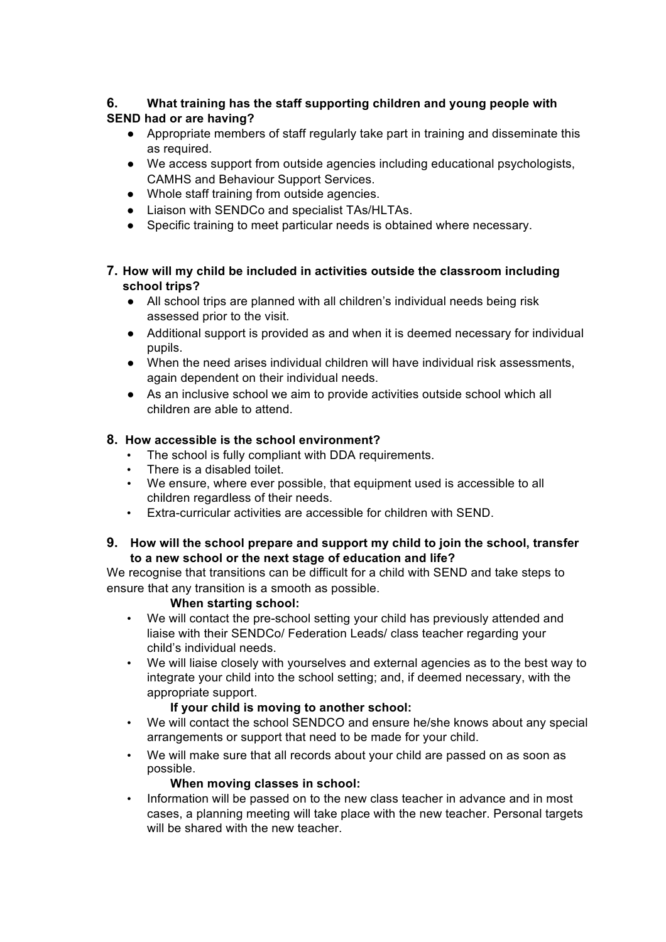# **6. What training has the staff supporting children and young people with SEND had or are having?**

- Appropriate members of staff regularly take part in training and disseminate this as required.
- We access support from outside agencies including educational psychologists, CAMHS and Behaviour Support Services.
- Whole staff training from outside agencies.
- Liaison with SENDCo and specialist TAs/HLTAs.
- Specific training to meet particular needs is obtained where necessary.

## **7. How will my child be included in activities outside the classroom including school trips?**

- All school trips are planned with all children's individual needs being risk assessed prior to the visit.
- Additional support is provided as and when it is deemed necessary for individual pupils.
- When the need arises individual children will have individual risk assessments, again dependent on their individual needs.
- As an inclusive school we aim to provide activities outside school which all children are able to attend.

# **8. How accessible is the school environment?**

- The school is fully compliant with DDA requirements.
- There is a disabled toilet.
- We ensure, where ever possible, that equipment used is accessible to all children regardless of their needs.
- Extra-curricular activities are accessible for children with SEND.

### **9. How will the school prepare and support my child to join the school, transfer to a new school or the next stage of education and life?**

We recognise that transitions can be difficult for a child with SEND and take steps to ensure that any transition is a smooth as possible.

# **When starting school:**

- We will contact the pre-school setting your child has previously attended and liaise with their SENDCo/ Federation Leads/ class teacher regarding your child's individual needs.
- We will liaise closely with yourselves and external agencies as to the best way to integrate your child into the school setting; and, if deemed necessary, with the appropriate support.

# **If your child is moving to another school:**

- We will contact the school SENDCO and ensure he/she knows about any special arrangements or support that need to be made for your child.
- We will make sure that all records about your child are passed on as soon as possible.

# **When moving classes in school:**

• Information will be passed on to the new class teacher in advance and in most cases, a planning meeting will take place with the new teacher. Personal targets will be shared with the new teacher